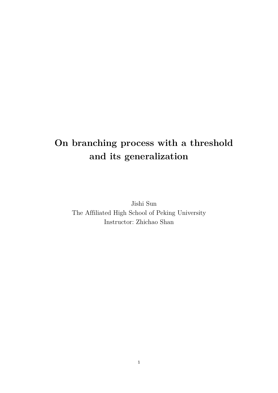# **On branching process with a threshold and its generalization**

Jishi Sun The Affiliated High School of Peking University Instructor: Zhichao Shan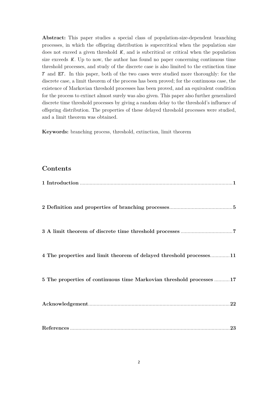**Abstract:** This paper studies a special class of population-size-dependent branching processes, in which the offspring distribution is supercritical when the population size does not exceed a given threshold  $K$ , and is subcritical or critical when the population size exceeds  $K$ . Up to now, the author has found no paper concerning continuous time threshold processes, and study of the discrete case is also limited to the extinction time  $T$  and  $ET$ . In this paper, both of the two cases were studied more thoroughly: for the discrete case, a limit theorem of the process has been proved; for the continuous case, the existence of Markovian threshold processes has been proved, and an equivalent condition for the process to extinct almost surely was also given. This paper also further generalized discrete time threshold processes by giving a random delay to the threshold's influence of offspring distribution. The properties of these delayed threshold processes were studied, and a limit theorem was obtained.

**Keywords:** branching process, threshold, extinction, limit theorem

### **Contents**

| 4 The properties and limit theorem of delayed threshold processes11  |
|----------------------------------------------------------------------|
| 5 The properties of continuous time Markovian threshold processes 17 |
|                                                                      |
|                                                                      |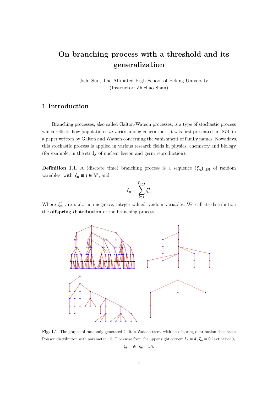# **On branching process with a threshold and its generalization**

Jishi Sun, The Affiliated High School of Peking University (Instructor: Zhichao Shan)

## **1 Introduction**

Branching processes, also called Galton-Watson processes, is a type of stochastic process which reflects how population size varies among generations. It was first presented in 1874, in a paper written by Galton and Watson concerning the vanishment of family names. Nowadays, this stochastic process is applied in various research fields in physics, chemistry and biology (for example, in the study of nuclear fission and germ reproduction).

**Definition 1.1.** A (discrete time) branching process is a sequence  $(\zeta_n)_{n\in\mathbb{N}}$  of random variables, with  $\zeta_0 \equiv j \in \mathbb{N}^*,$  and

$$
\zeta_n = \sum_{i=1}^{\zeta_{n-1}} \xi_n^i
$$

Where  $\xi_n^i$  are i.i.d., non-negative, integer-valued random variables. We call its distribution the **offspring distribution** of the branching process.



**Fig. 1.1.** The graphs of randomly generated Galton-Watson trees, with an offspring distribution that has a Poisson distribution with parameter 1.5. Clockwise from the upper right corner:  $\zeta_6 = 4$ ;  $\zeta_4 = 0$  (extinction);  $\zeta_6 = 9; \; \zeta_6 = 54.$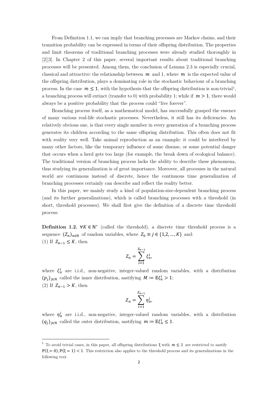From Definition 1.1, we can imply that branching processes are Markov chains, and their transition probability can be expressed in terms of their offspring distribution. The properties and limit theorems of traditional branching processes were already studied thoroughly in [2][3]. In Chapter 2 of this paper, several important results about traditional branching processes will be presented. Among them, the conclusion of Lemma 2.3 is especially crucial, classical and attractive: the relationship between  $m$  and 1, where  $m$  is the expected value of the offspring distribution, plays a dominating role in the stochastic behaviour of a branching process. In the case  $m \leq 1$  $m \leq 1$ , with the hypothesis that the offspring distribution is non-trivial<sup>1</sup>, a branching process will extinct (transfer to 0) with probability 1; while if  $m > 1$ , there would always be a positive probability that the process could "live forever".

Branching process itself, as a mathematical model, has successfully grasped the essence of many various real-life stochastic processes. Nevertheless, it still has its deficiencies. An relatively obvious one, is that every single member in every generation of a branching process generates its children according to the same offspring distribution. This often does not fit with reality very well. Take animal reproduction as an example: it could be interfered by many other factors, like the temporary influence of some disease, or some potential danger that occurs when a herd gets too large (for example, the break down of ecological balance). The traditional version of branching process lacks the ability to describe these phenomena, thus studying its generalization is of great importance. Moreover, all processes in the natural world are continuous instead of discrete, hence the continuous time generalization of branching processes certainly can describe and reflect the reality better.

In this paper, we mainly study a kind of population-size-dependent branching process (and its further generalizations), which is called branching processes with a threshold (in short, threshold processes). We shall first give the definition of a discrete time threshold process:

**Definition 1.2.**  $\forall K \in \mathbb{N}^*$  (called the threshold), a discrete time threshold process is a sequence  $(Z_n)_{n\in\mathbb{N}}$  of random variables, where  $Z_0 \equiv j \in \{1,2,\ldots,K\}$  and: (1) If  $Z_{n-1} \leq K$ , then

$$
Z_n = \sum_{i=1}^{Z_{n-1}} \xi_n^i,
$$

where  $\xi_n^i$  are i.i.d., non-negative, integer-valued random variables, with a distribution  $(p_j)_{j \in \mathbb{N}}$  called the inner distribution, sastifying  $M \coloneqq \mathbb{E} \xi_n^i > 1$ ; (2) If  $Z_{n-1} > K$ , then

$$
Z_n = \sum_{i=1}^{Z_{n-1}} \eta_n^i,
$$

where  $\eta_n^i$  are i.i.d., non-negative, integer-valued random variables, with a distribution  $(q_j)_{j\in\mathbb{N}}$  called the outer distribution, sastifying  $m \coloneqq \mathbb{E}\xi_n^i \leq 1$ .

-

<span id="page-3-0"></span><sup>&</sup>lt;sup>1</sup> To avoid trivial cases, in this paper, all offspring distributions  $\xi$  with  $m \leq 1$  are restricted to sastify  $\mathbb{P}(\xi = 0), \mathbb{P}(\xi = 1) < 1.$  This restriction also applies to the threshold process and its generalizations in the following text.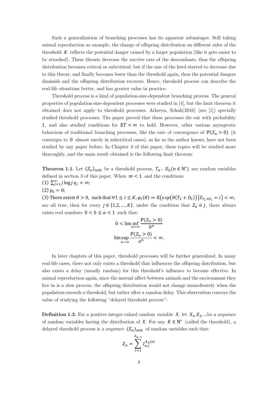Such a generalization of branching processes has its apparent advantages. Still taking animal reproduction as example, the change of offspring distribution on different sides of the threshold  $K$  reflects the potential danger caused by a larger population (like it gets easier to be attacked). These threats decrease the survive rate of the descendants, thus the offspring distribution becomes critical or subcritical; but if the size of the herd started to decrease due to this threat, and finally becomes lower than the threshold again, then the potential dangers diminish and the offspring distribution recovers. Hence, threshold process can describe the real-life situations better, and has greater value in practice.

Threshold process is a kind of population-size-dependent branching process. The general properties of population-size-dependent processes were studied in [4], but the limit theorem it obtained does not apply to threshold processes. Athreya, Schuh(2016) (see [1]) specially studied threshold processes. The paper proved that these processes die out with probability 1, and also studied conditions for  $ET < \infty$  to hold. However, other various asymptotic behavious of traditional branching processes, like the rate of convergence of  $\mathbb{P}(Z_n > 0)$  (it converges to 0 almost surely in subcritical cases), as far as the author knows, have not been studied by any paper before. In Chapter 3 of this paper, these topics will be studied more thoroughly, and the main result obtained is the following limit theorem:

**Theorem 1.1.** Let  $(Z_n)_{n\in\mathbb{N}}$  be a threshold process,  $T_n$ ,  $D_n(n \in \mathbb{N}^*)$  are random variables defined in section 3 of this paper. When  $m < 1$  and the conditions (1)  $\sum_{j=1}^{\infty} j \log j q_j < \infty;$ (2)  $p_0 = 0$ ;

(3) There exists  $\theta > 0$ , such that  $\forall 1 \le i \le K$ ,  $\varphi_i(\theta) \coloneqq \mathbb{E}(\exp(\theta(T_2 + D_2)) | Z_{T_1 + D_1} = i) < \infty$ ; are all true, then for every  $j \in \{1,2,\ldots,K\}$ , under the condition that  $Z_0 \equiv j$ , there always exists real numbers  $0 < b \le a < 1$  such that:

$$
0 < \liminf_{n \to \infty} \frac{\mathbb{P}(Z_n > 0)}{b^n}
$$
\n
$$
\limsup_{n \to \infty} \frac{\mathbb{P}(Z_n > 0)}{a^n} < \infty.
$$

In later chapters of this paper, threshold processes will be further generalized. In many real-life cases, there not only exists a threshold that influences the offspring distribution, but also exists a delay (usually random) for this threshold's influence to become effective. In animal reproduction again, since the mutual affect between animals and the environment they live in is a slow process, the offspring distribution would not change immedieately when the population exceeds a threshold, but rather after a ramdon delay. This observation conveys the value of studying the following "delayed threshold process":

**Definition 1.3.** For a positive integer-valued random variable  $X$ , let  $X_1, X_2, ...$  be a sequence of random variables having the distribution of  $X$ . For any  $K \in \mathbb{N}^*$  (called the threshold), a delayed threshold process is a sequence  $(Z_n)_{n\in\mathbb{N}}$  of random variables such that:

$$
Z_n = \sum_{i=1}^{Z_{n-1}} \xi_{n,i}^{1_A(n)}
$$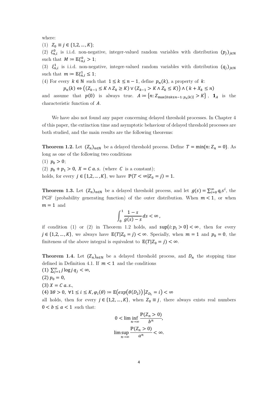where:

(1)  $Z_0 \equiv j \in \{1, 2, ..., K\};$ 

(2)  $\xi_{n,i}^0$  is i.i.d. non-negative, integer-valued random variables with distribution  $(p_j)_{j\in\mathbb{N}}$ such that  $M \coloneqq \mathbb{E} \xi_{n,i}^0 > 1$ ;

(3)  $\xi_{n,i}^1$  is i.i.d. non-negative, integer-valued random variables with distribution  $(q_j)_{j\in\mathbb{N}}$ such that  $m \coloneqq \mathbb{E} \xi_{n,i}^1 \leq 1;$ 

(4) For every  $k \in \mathbb{N}$  such that  $1 \leq k \leq n-1$ , define  $p_n(k)$ , a property of k:

 $p_n(k) \Leftrightarrow ((Z_{k-1} \leq K \land Z_k \geq K) \lor (Z_{k-1} > K \land Z_k \leq K)) \land (k + X_k \leq n)$ 

and assume that  $p(0)$  is always true.  $A := \{n: Z_{\max\{0 \le k \le n-1: p_n(k)\}} > K\}$ ,  $\mathbf{1}_A$  is the characteristic function of  $\tilde{A}$ .

We have also not found any paper concerning delayed threshold processes. In Chapter 4 of this paper, the extinction time and asymptotic behaviour of delayed threshold processes are both studied, and the main results are the following theorems:

**Theorem 1.2.** Let  $(Z_n)_{n\in\mathbb{N}}$  be a delayed threshold process. Define  $T = \min\{n: Z_n = 0\}$ . As long as one of the following two conditions

(1)  $p_0 > 0$ ; (2)  $p_0 + p_1 > 0$ ,  $X = C a.s.$  (where C is a constant); holds, for every  $j \in \{1, 2, ..., K\}$ , we have  $\mathbb{P}(T < \infty | Z_0 = j) = 1$ .

**Theorem 1.3.** Let  $(Z_n)_{n \in \mathbb{N}}$  be a delayed threshold process, and let  $g(s) = \sum_{i=0}^{\infty} q_i s^i$ , the PGF (probability generating function) of the outer distribution. When  $m < 1$ , or when  $m = 1$  and

$$
\int_0^1 \frac{1-s}{g(s)-s} ds < \infty \,,
$$

if condition (1) or (2) in Theorem 1.2 holds, and  $\sup\{i : p_i > 0\} < \infty$ , then for every  $j \in \{1,2,\ldots,K\}$ , we always have  $\mathbb{E}(T|Z_0 = j) < \infty$ . Specially, when  $m = 1$  and  $p_0 = 0$ , the finiteness of the above integral is equivalent to  $\mathbb{E}(T|Z_0 = j) < \infty$ .

**Theorem 1.4.** Let  $(Z_n)_{n\in\mathbb{N}}$  be a delayed threshold process, and  $D_n$  the stopping time defined in Definition 4.1. If  $m < 1$  and the conditions

(1)  $\sum_{j=1}^{\infty} j \log j q_j < \infty$ ,  $(2) p_0 = 0,$  $(3) X = C a.s.$ (4)  $\exists \theta > 0$ ,  $\forall 1 \leq i \leq K, \varphi_i(\theta) \coloneqq \mathbb{E}(\exp(\theta(D_2)) | Z_{D_i} = i) < \infty$ all holds, then for every  $j \in \{1, 2, ..., K\}$ , when  $Z_0 \equiv j$ , there always exists real numbers  $0 < b \le a < 1$  such that:

$$
0 < \liminf_{n \to \infty} \frac{\mathbb{P}(Z_n > 0)}{b^n},
$$
\n
$$
\limsup_{n \to \infty} \frac{\mathbb{P}(Z_n > 0)}{a^n} < \infty.
$$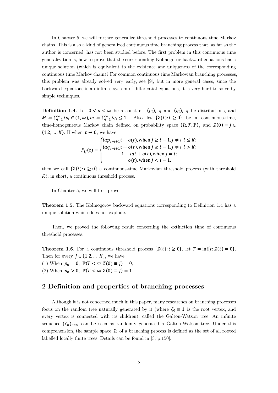In Chapter 5, we will further generalize threshold processes to continuous time Markov chains. This is also a kind of generalized continuous time branching process that, as far as the author is concerned, has not been studied before. The first problem in this continuous time generalization is, how to prove that the corresponding Kolmogorov backward equations has a unique solution (which is equivalent to the existence ane uniqueness of the corresponding continuous time Markov chain)? For common continuous time Markovian branching processes, this problem was already solved very early, see [9]; but in more general cases, since the backward equations is an infinite system of differential equations, it is very hard to solve by simple techniques.

**Definition 1.4.** Let  $0 < a < \infty$  be a constant,  $(p_i)_{i \in \mathbb{N}}$  and  $(q_i)_{i \in \mathbb{N}}$  be distributions, and  $M := \sum_{i=1}^{\infty} i p_i \in (1, \infty), m := \sum_{i=1}^{\infty} i q_i \le 1$ . Also let  $\{Z(t): t \ge 0\}$  be a continuous-time, time-homogeneous Markov chain defined on probability space  $(\Omega, \mathcal{F}, \mathbb{P})$ , and  $Z(0) \equiv j \in$  ${1,2,...,K}$ . If when  $t \rightarrow 0$ , we have

$$
P_{ij}(t) = \begin{cases} \n i a p_{j-i+1}t + o(t), \text{ when } j \ge i - 1, j \ne i, i \le K; \\
 i a q_{j-i+1}t + o(t), \text{ when } j \ge i - 1, j \ne i, i > K; \\
 1 - i a t + o(t), \text{ when } j = i; \\
 o(t), \text{ when } j < i - 1. \n\end{cases}
$$

then we call  $\{Z(t): t \geq 0\}$  a continuous-time Markovian threshold process (with threshold  $K$ ), in short, a continuous threshold process.

In Chapter 5, we will first prove:

**Theorem 1.5.** The Kolmogorov backward equations corresponding to Definition 1.4 has a unique solution which does not explode.

Then, we proved the following result concerning the extinction time of continuous threshold processes:

**Theorem 1.6.** For a continuous threshold process  $\{Z(t): t \geq 0\}$ , let  $T = \inf\{t: Z(t) = 0\}$ , Then for every  $j \in \{1,2,\ldots,K\}$ , we have: (1) When  $p_0 = 0$ ,  $\mathbb{P}(T < \infty | Z(0) \equiv j) = 0$ ;

(2) When  $p_0 > 0$ ,  $\mathbb{P}(T < \infty | Z(0) \equiv j) = 1$ .

#### **2 Definition and properties of branching processes**

Although it is not concerned much in this paper, many researches on branching processes focus on the random tree naturally generated by it (where  $\zeta_0 \equiv 1$  is the root vertex, and every vertex is connected with its children), called the Galton-Watson tree. An infinite sequence  $(\zeta_n)_{n\in\mathbb{N}}$  can be seen as randomly generated a Galton-Watson tree. Under this comprehension, the sample space  $\Omega$  of a branching process is defined as the set of all rooted labelled locally finite trees. Details can be found in [3, p.150].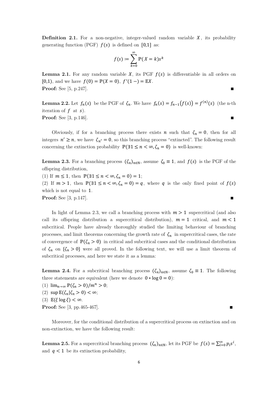**Definition 2.1.** For a non-negative, integer-valued random variable  $X$ , its probability generating function (PGF)  $f(s)$  is defined on [0,1] as:

$$
f(s) \coloneqq \sum_{k=0}^{\infty} \mathbb{P}(X=k) s^k
$$

**Lemma 2.1.** For any random variable  $X$ , its PGF  $f(s)$  is differentiable in all orders on [0,1], and we have  $f(0) = \mathbb{P}(X = 0)$ ,  $f'(1-) = \mathbb{E}X$ . **Proof:** See [5, p.247].∎

**Lemma 2.2.** Let  $f_n(s)$  be the PGF of  $\zeta_n$ . We have  $f_n(s) = f_{n-1}(f(s)) = f^{(n)}(s)$  (the n-th iteration of  $f$  at  $s$ ). **Proof:** See [3, p.146]. **■** 

Obviously, if for a branching process there exists  $n$  such that  $\zeta_n = 0$ , then for all integers  $n' \ge n$ , we have  $\zeta_{n'} = 0$ , so this branching process "extincted". The following result concerning the extinction probability  $\mathbb{P}(\exists 1 \leq n < \infty, \zeta_n = 0)$  is well-known:

**Lemma 2.3.** For a branching process  $(\zeta_n)_{n \in \mathbb{N}}$ , assume  $\zeta_0 \equiv 1$ , and  $f(s)$  is the PGF of the offspring distribution,

(1) If  $m \le 1$ , then  $\mathbb{P}(\exists 1 \le n < \infty, \zeta_n = 0) = 1$ ; (2) If  $m > 1$ , then  $\mathbb{P}(\exists 1 \leq n < \infty, \zeta_n = 0) = q$ , where q is the only fixed point of  $f(s)$ which is not equal to 1.

**Proof:** See [3, p.147].∎

In light of Lemma 2.3, we call a branching process with  $m > 1$  supercritical (and also call its offspring distribution a supercritical distribution),  $m = 1$  critical, and  $m < 1$ subcritical. People have already thoroughly studied the limiting behaviour of branching processes, and limit theorems concerning the growth rate of  $\zeta_n$  in supercritical cases, the rate of convergence of  $\mathbb{P}(\zeta_n > 0)$  in critical and subcritical cases and the conditional distribution of  $\zeta_n$  on  $\{\zeta_n > 0\}$  were all proved. In the following text, we will use a limit theorem of subcritical processes, and here we state it as a lemma:

**Lemma 2.4.** For a subcritical branching process  $(\zeta_n)_{n \in \mathbb{N}}$ , assume  $\zeta_0 \equiv 1$ . The following three statements are equivalent (here we denote  $0 * log 0 = 0$ ):

- (1)  $\lim_{n\to\infty} \mathbb{P}(\zeta_n > 0)/m^n > 0;$
- (2)  $\sup \mathbb{E}(\zeta_n | \zeta_n > 0) < \infty;$
- (3)  $\mathbb{E}(\xi \log \xi) < \infty$ .
- **Proof:** See [3, pp.465-467].∎

Moreover, for the conditional distribution of a supercritical process on extinction and on non-extinction, we have the following result:

**Lemma 2.5.** For a supercritical branching process  $(\zeta_n)_{n \in \mathbb{N}}$ , let its PGF be  $f(s) = \sum_{i=0}^{\infty} p_i s^i$ , and  $q < 1$  be its extinction probability,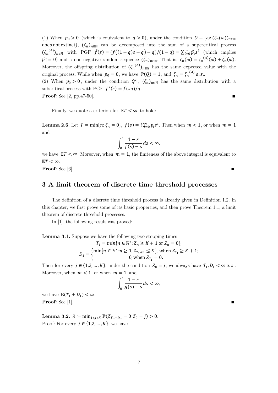(1) When  $p_0 > 0$  (which is equivalent to  $q > 0$ ), under the condition  $Q = {\omega : (\zeta_n(\omega))_{n \in \mathbb{N}}}$ does not extinct},  $(\zeta_n)_{n\in\mathbb{N}}$  can be decomposed into the sum of a supercritical process  $(\zeta_n^{(A)})_{n \in \mathbb{N}}$  with PGF  $\hat{f}(s) = (f((1-q)s+q) - q)/(1-q) = \sum_{i=0}^{\infty} \hat{p}_i s^i$  (which implies  $\widehat{p_0} = 0$  and a non-negative random sequence  $(\widetilde{\zeta_n})_{n \in \mathbb{N}}$ . That is,  $\zeta_n(\omega) = \zeta_n^{(A)}(\omega) + \widetilde{\zeta_n}(\omega)$ . Moreover, the offspring distribution of  $(\zeta_n^{(A)})_{n\in\mathbb{N}}$  has the same expected value with the original process. While when  $p_0 = 0$ , we have  $\mathbb{P}(Q) = 1$ , and  $\zeta_n = \zeta_n^{(A)} a.s..$ 

(2) When  $p_0 > 0$ , under the condition  $Q^c$ ,  $(\zeta_n)_{n \in \mathbb{N}}$  has the same distribution with a subcritical process with PGF  $f^*(s) = f(sq)/q$ . **Proof:** See [2, pp.47-50].∎

Finally, we quote a criterion for  $ET < \infty$  to hold:

**Lemma 2.6.** Let  $T = \min\{n: \zeta_n = 0\}$ ,  $f(s) = \sum_{i=0}^{\infty} p_i s^i$ . Then when  $m < 1$ , or when  $m = 1$ and

$$
\int_0^1 \frac{1-s}{f(s)-s} ds < \infty,
$$

we have  $ET < \infty$ . Moreover, when  $m = 1$ , the finiteness of the above integral is equivalent to  $\mathbb{E}T<\infty$ .

**Proof:** See [6].

#### **3 A limit theorem of discrete time threshold processes**

The definition of a discrete time threshold process is already given in Definition 1.2. In this chapter, we first prove some of its basic properties, and then prove Theorem 1.1, a limit theorem of discrete threshold processes.

In [1], the following result was proved:

**Lemma 3.1.** Suppose we have the following two stopping times

$$
T_1 = \min\{n \in \mathbb{N}^* : Z_n \ge K + 1 \text{ or } Z_n = 0\},
$$
  

$$
D_1 = \begin{cases} \min\{n \in \mathbb{N}^* : n \ge 1, Z_{T_1 + n} \le K\}, \text{ when } Z_{T_1} \ge K + 1; \\ 0, \text{ when } Z_{T_1} = 0. \end{cases}
$$

Then for every  $j \in \{1,2,\ldots,K\}$ , under the condition  $Z_0 = j$ , we always have  $T_1, D_1 < \infty$  a.s.. Moreover, when  $m < 1$ , or when  $m = 1$  and

$$
\int_0^1 \frac{1-s}{g(s)-s} ds < \infty,
$$

we have  $\mathbb{E}(T_1 + D_1) < \infty$ . **Proof:** See [1].∎

Lemma 3.2.  $\lambda := \min_{1 \leq j \leq K} \mathbb{P}(Z_{T1+D1} = 0 | Z_0 = j) > 0.$ Proof: For every  $\,j\in\{1,2,\ldots,K\},$  we have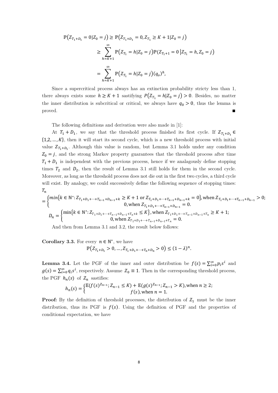$$
\mathbb{P}\Big(Z_{T_1+D_1} = 0 | Z_0 = j\Big) \ge \mathbb{P}\Big(Z_{T_1+D_1} = 0, Z_{T_1} \ge K + 1 | Z_0 = j\Big)
$$
  

$$
\ge \sum_{h=K+1}^{\infty} \mathbb{P}\Big(Z_{T_1} = h | Z_0 = j\Big) \mathbb{P}\Big(Z_{T_1+1} = 0 \Big| Z_{T_1} = h, Z_0 = j\Big)
$$
  

$$
= \sum_{h=K+1}^{\infty} \mathbb{P}\Big(Z_{T_1} = h | Z_0 = j\Big) (q_o)^h,
$$

Since a supercritical process always has an extinction probability stricty less than 1, there always exists some  $h \geq K + 1$  sastifying  $P(Z_{T_1} = h | Z_0 = j) > 0$ . Besides, no matter the inner distribution is subcritical or critical, we always have  $q_0 > 0$ , thus the lemma is proved.∎

The following definitions and derivation were also made in [1]:

At  $T_1 + D_1$ , we say that the threshold process finished its first cycle. If  $Z_{T_1+D_1} \in$  $\{1,2,\ldots,K\}$ , then it will start its second cycle, which is a new threshold process with initial value  $Z_{T_1+D_1}$ . Although this value is random, but Lemma 3.1 holds under any condition  $Z_0 = j$ , and the strong Markov property guarantees that the threshold process after time  $T_1 + D_1$  is independent with the previous process, hence if we analagously define stopping times  $T_2$  and  $D_2$ , then the result of Lemma 3.1 still holds for them in the second cycle. Moreover, as long as the threshold process does not die out in the first two cycles, a third cycle will exist. By analogy, we could successively define the following sequence of stopping times:  $T_n$ 

$$
= \begin{cases} \min\{k \in \mathbb{N}^* : Z_{T_1 + D_1 + \dots + T_{n-1} + D_{n-1} + k} \ge K + 1 \text{ or } Z_{T_1 + D_1 + \dots + T_{n-1} + D_{n-1} + k} = 0\}, \text{ when } Z_{T_1 + D_1 + \dots + T_{n-1} + D_{n-1}} > 0; \\ 0, \text{ when } Z_{T_1 + D_1 + \dots + T_{n-1} + D_{n-1}} = 0. \end{cases}
$$
  

$$
D_n = \begin{cases} \min\{k \in \mathbb{N}^* : Z_{T_1 + D_1 + \dots + T_{n-1} + D_{n-1} + T_n + k} \le K\}, \text{ when } Z_{T_1 + D_1 + \dots + T_{n-1} + D_{n-1} + T_n} \ge K + 1; \\ 0, \text{ when } Z_{T_1 + D_1 + \dots + T_{n-1} + D_{n-1} + T_n} = 0. \end{cases}
$$

And then from Lemma 3.1 and 3.2, the result below follows:

**Corollary 3.3.** For every  $n \in \mathbb{N}^*$ , we have

$$
\mathbb{P}\big(Z_{T_1+D_1} > 0, \dots, Z_{T_1+D_1+\dots+T_n+D_n} > 0\big) \le (1-\lambda)^n.
$$

**Lemma 3.4.** Let the PGF of the inner and outer distribution be  $f(s) = \sum_{i=0}^{\infty} p_i s^i$  and  $g(s) = \sum_{i=0}^{\infty} q_i s^i$ , respectively. Assume  $Z_0 \equiv 1$ . Then in the corresponding threshold process, the PGF  $h_n(s)$  of  $Z_n$  sastifies:

$$
h_n(s) = \begin{cases} \mathbb{E}(f(s)^{Z_{n-1}}; Z_{n-1} \le K) + \mathbb{E}(g(s)^{Z_{n-1}}; Z_{n-1} > K), \text{ when } n \ge 2; \\ f(s), \text{ when } n = 1. \end{cases}
$$

**Proof:** By the definition of threshold processes, the distribution of  $Z_1$  must be the inner distribution, thus its PGF is  $f(s)$ . Using the definition of PGF and the properties of conditional expectation, we have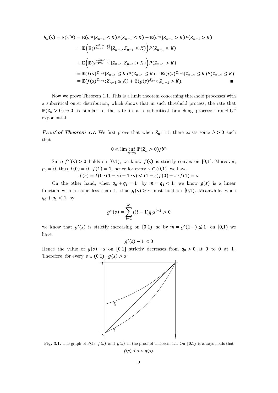$$
h_n(s) = \mathbb{E}(s^{Z_n}) = \mathbb{E}(s^{Z_n} | Z_{n-1} \le K) P(Z_{n-1} \le K) + \mathbb{E}(s^{Z_n} | Z_{n-1} > K) P(Z_{n-1} > K)
$$
  
\n
$$
= \mathbb{E}\left(\mathbb{E}(s^{\sum_{i=1}^{Z_{n-1}} \xi_n^i} | Z_{n-1}, Z_{n-1} \le K)\right) P(Z_{n-1} \le K)
$$
  
\n
$$
+ \mathbb{E}\left(\mathbb{E}(s^{\sum_{i=1}^{Z_{n-1}} \eta_n^i} | Z_{n-1}, Z_{n-1} > K)\right) P(Z_{n-1} > K)
$$
  
\n
$$
= \mathbb{E}(f(s)^{Z_{n-1}} | Z_{n-1} \le K) P(Z_{n-1} \le K) + \mathbb{E}(g(s)^{Z_{n-1}} | Z_{n-1} \le K) P(Z_{n-1} \le K)
$$
  
\n
$$
= \mathbb{E}(f(s)^{Z_{n-1}}; Z_{n-1} \le K) + \mathbb{E}(g(s)^{Z_{n-1}}; Z_{n-1} > K).
$$

Now we prove Theorem 1.1. This is a limit theorem concerning threshold processes with a subcritical outer distribution, which shows that in such threshold process, the rate that  $\mathbb{P}(Z_n > 0) \to 0$  is similar to the rate in a a subcritical branching process: "roughly" exponential.

**Proof of Theorem 1.1.** We first prove that when  $Z_0 = 1$ , there exists some  $b > 0$  such that

$$
0 < \liminf_{n \to \infty} \mathbb{P}(Z_n > 0) / b^n
$$

Since  $f''(s) > 0$  holds on [0,1], we know  $f(s)$  is strictly convex on [0,1]. Moreover,  $p_0 = 0$ , thus  $f(0) = 0$ ,  $f(1) = 1$ , hence for every  $s \in (0,1)$ , we have:

$$
f(s) = f(0 \cdot (1 - s) + 1 \cdot s) < (1 - s)f(0) + s \cdot f(1) = s
$$

On the other hand, when  $q_0 + q_1 = 1$ , by  $m = q_1 < 1$ , we know  $g(s)$  is a linear function with a slope less than 1, thus  $g(s) > s$  must hold on [0,1]. Meanwhile, when  $q_0 + q_1 < 1$ , by

$$
g''(s) = \sum_{i=2}^{\infty} i(i-1)q_i s^{i-2} > 0
$$

we know that  $g'(s)$  is strictly increasing on [0,1), so by  $m = g'(1-) \le 1$ , on [0,1) we have:

$$
g'(s)-1<0
$$

Hence the value of  $g(s) - s$  on [0,1] strictly decreases from  $q_0 > 0$  at 0 to 0 at 1. Therefore, for every  $s \in (0,1)$ ,  $g(s) > s$ .



**Fig. 3.1.** The graph of PGF  $f(s)$  and  $g(s)$  in the proof of Theorem 1.1. On [0,1] it always holds that  $f(s) < s < g(s)$ .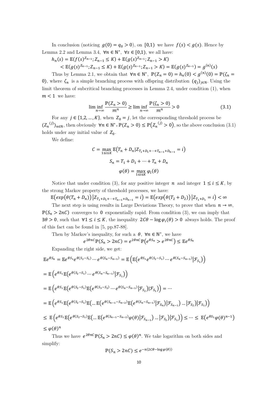In conclusion (noticing  $g(0) = q_0 > 0$ ), on [0,1] we have  $f(s) < g(s)$ . Hence by Lemma 2.2 and Lemma 3.4,  $\forall n \in \mathbb{N}^*$ ,  $\forall s \in [0,1)$ , we all have:

$$
h_n(s) = \mathbb{E}(f(s)^{Z_{n-1}}; Z_{n-1} \le K) + \mathbb{E}(g(s)^{Z_{n-1}}; Z_{n-1} > K)
$$
  

$$
< \mathbb{E}(g(s)^{Z_{n-1}}; Z_{n-1} \le K) + \mathbb{E}(g(s)^{Z_{n-1}}; Z_{n-1} > K) = \mathbb{E}(g(s)^{Z_{n-1}}) = g^{(n)}(s)
$$

Thus by Lemma 2.1, we obtain that  $\forall n \in \mathbb{N}^*, \ \mathbb{P}(Z_n = 0) = h_n(0) < g^{(n)}(0) = \mathbb{P}(\zeta_n = 0)$ 0), where  $\zeta_n$  is a simple branching process with offspring distribution  $(q_i)_{i\in\mathbb{N}}$ . Using the limit theorem of subcritical branching processes in Lemma 2.4, under condition (1), when  $m < 1$  we have:

$$
\liminf_{n \to \infty} \frac{\mathbb{P}(Z_n > 0)}{m^n} \ge \liminf_{n \to \infty} \frac{\mathbb{P}(\zeta_n > 0)}{m^n} > 0
$$
\n(3.1)

For any  $j \in \{1,2,...,K\}$ , when  $Z_0 = j$ , let the corresponding threshold process be  $(Z_n^{(j)})_{n\in\mathbb{N}}$ , then obviously  $\forall n \in \mathbb{N}^*$ ,  $\mathbb{P}(Z_n > 0) \leq \mathbb{P}(Z_n^{(j)} > 0)$ , so the above conclusion (3.1) holds under any initial value of  $Z_0$ .

We define:

$$
C = \max_{1 \le i \le K} \mathbb{E}(T_n + D_n | Z_{T_1 + D_1 + \dots + T_{n-1} + D_{n-1}} = i)
$$

$$
S_n = T_1 + D_1 + \dots + T_n + D_n
$$

$$
\varphi(\theta) = \max_{1 \le i \le K} \varphi_i(\theta)
$$

Notice that under condition (3), for any positive integer  $n$  and integer  $1 \le i \le K$ , by the strong Markov property of threshold processes, we have:

 $\mathbb{E}\big(\exp\big(\theta(T_n+D_n)\big)\big|Z_{T_1+D_1+\cdots+T_{n-1}+D_{n-1}}=i\big)=\mathbb{E}\big(\exp\big(\theta(T_2+D_2)\big)\big|Z_{T_1+D_1}=i\big)<\infty$ The next step is using results in Large Deviations Theory, to prove that when  $n \to \infty$ ,

 $\mathbb{P}(S_n > 2nC)$  converges to 0 exponentially rapid. From condition (3), we can imply that  $\exists \theta > 0$ , such that  $\forall 1 \leq i \leq K$ , the inequality  $2C\theta - \log \varphi_i(\theta) > 0$  always holds. The proof of this fact can be found in [5, pp.87-88].

Then by Markov's inequality, for such a  $\theta$ ,  $\forall n \in \mathbb{N}^*$ , we have

$$
e^{2\theta nC}\mathbb{P}(S_n > 2nC) = e^{2\theta nC}\mathbb{P}(e^{\theta S_n} > e^{2\theta nC}) \leq \mathbb{E}e^{\theta S_n}
$$

Expanding the right side, we get:

$$
\mathbb{E}e^{\theta S_n} = \mathbb{E}e^{\theta S_1}e^{\theta(S_2-S_1)} \cdots e^{\theta(S_n-S_{n-1})} = \mathbb{E}\left(\mathbb{E}\left(e^{\theta S_1}e^{\theta(S_2-S_1)} \cdots e^{\theta(S_n-S_{n-1})}\big| \mathcal{F}_{S_1}\right)\right)
$$
\n
$$
= \mathbb{E}\left(e^{\theta S_1}\mathbb{E}\left(e^{\theta(S_2-S_1)} \cdots e^{\theta(S_n-S_{n-1})}\big| \mathcal{F}_{S_1}\right)\right)
$$
\n
$$
= \mathbb{E}\left(e^{\theta S_1}\mathbb{E}\left(e^{\theta(S_2-S_1)}\mathbb{E}\left(e^{\theta(S_3-S_2)} \cdots e^{\theta(S_n-S_{n-1})}\big| \mathcal{F}_{S_2}\right)| \mathcal{F}_{S_1}\right)\right) = \cdots
$$
\n
$$
= \mathbb{E}\left(e^{\theta S_1}\mathbb{E}\left(e^{\theta(S_2-S_1)}\mathbb{E}\left(\cdots \mathbb{E}\left(e^{\theta(S_{n-1}-S_{n-2})}\mathbb{E}\left(e^{\theta(S_n-S_{n-1})}\big| \mathcal{F}_{S_n}\right)\big| \mathcal{F}_{S_{n-1}}\right) \cdots \big| \mathcal{F}_{S_2}\right)| \mathcal{F}_{S_1}\right)\right)
$$
\n
$$
\leq \mathbb{E}\left(e^{\theta S_1}\mathbb{E}\left(e^{\theta(S_2-S_1)}\mathbb{E}\left(\cdots \mathbb{E}\left(e^{\theta(S_{n-1}-S_{n-2})}\phi(\theta)\big| \mathcal{F}_{S_{n-1}}\right) \cdots \big| \mathcal{F}_{S_2}\right)| \mathcal{F}_{S_1}\right)\right) \leq \cdots \leq \mathbb{E}\left(e^{\theta S_1}\phi(\theta)^{n-1}\right)
$$
\n
$$
\leq \phi(\theta)^n
$$

Thus we have  $e^{2\theta nC} \mathbb{P}(S_n > 2nC) \leq \varphi(\theta)^n$ . We take logarithm on both sides and simplify:

$$
\mathbb{P}(S_n > 2nC) \le e^{-n(2C\theta - \log \varphi(\theta))}
$$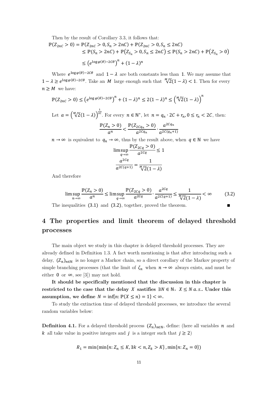Then by the result of Corollary 3.3, it follows that:

$$
\mathbb{P}(Z_{2nC} > 0) = \mathbb{P}(Z_{2nC} > 0, S_n > 2nC) + \mathbb{P}(Z_{2nC} > 0, S_n \le 2nC)
$$
  
\n
$$
\leq \mathbb{P}(S_n > 2nC) + \mathbb{P}(Z_{S_n} > 0, S_n \le 2nC) \leq \mathbb{P}(S_n > 2nC) + \mathbb{P}(Z_{S_n} > 0)
$$
  
\n
$$
\leq (e^{\log \varphi(\theta) - 2C\theta})^n + (1 - \lambda)^n
$$

Where  $e^{\log \varphi(\theta)-2C\theta}$  and  $1-\lambda$  are both constants less than 1. We may assume that  $1 - \lambda \geq e^{\log \varphi(\theta) - 2C\theta}$ . Take an M large enough such that  $\sqrt[N]{2}(1 - \lambda) < 1$ . Then for every  $n\geq M$  we have:

$$
\mathbb{P}(Z_{2nC} > 0) \le (e^{\log \varphi(\theta) - 2C\theta})^n + (1 - \lambda)^n \le 2(1 - \lambda)^n \le \left(\sqrt[n]{2}(1 - \lambda)\right)^n
$$
  
Let  $a = \left(\sqrt[n]{2}(1 - \lambda)\right)^{\frac{1}{2C}}$ . For every  $n \in \mathbb{N}^*$ , let  $n = q_n \cdot 2C + r_n, 0 \le r_n < 2C$ , then:  

$$
\frac{\mathbb{P}(Z_n > 0)}{a^n} < \frac{\mathbb{P}(Z_{2Cq_n} > 0)}{a^{2Cq_n}} \cdot \frac{a^{2Cq_n}}{a^{2C(q_n + 1)}}
$$

 $n \to \infty$  is equivalent to  $q_n \to \infty$ , thus by the result above, when  $q \in \mathbb{N}$  we have

$$
\limsup_{q \to \infty} \frac{\mathbb{P}(Z_{2Cq} > 0)}{a^{2Cq}} \le 1
$$

$$
\frac{a^{2Cq}}{a^{2C(q+1)}} = \frac{1}{\sqrt[M]{2}(1-\lambda)}
$$

And therefore

$$
\limsup_{n \to \infty} \frac{\mathbb{P}(Z_n > 0)}{a^n} \le \limsup_{q \to \infty} \frac{\mathbb{P}(Z_{2cq} > 0)}{a^{2cq}} \cdot \frac{a^{2cq}}{a^{2c(q+1)}} \le \frac{1}{\sqrt[n]{2}(1-\lambda)} < \infty \tag{3.2}
$$

The inequalities  $(3.1)$  and  $(3.2)$ , together, proved the theorem. ■

# **4 The properties and limit theorem of delayed threshold processes**

The main object we study in this chapter is delayed threshold processes. They are already defined in Definition 1.3. A fact worth mentioning is that after introducing such a delay,  $(Z_n)_{n\in\mathbb{N}}$  is no longer a Markov chain, so a direct corollary of the Markov property of simple branching processes (that the limit of  $\zeta_n$  when  $n \to \infty$  always exists, and must be either 0 or  $\infty$ , see [3]) may not hold.

**It should be specifically mentioned that the discussion in this chapter is**  restricted to the case that the delay *X* sastifies  $\exists N \in \mathbb{N}$ ,  $X \leq N a.s..$  Under this assumption, we define  $N = \inf\{n : \mathbb{P}(X \le n) = 1\} < \infty$ .

To study the extinction time of delayed threshold processes, we introduce the several random variables below:

**Definition 4.1.** For a delayed threshold process  $(Z_n)_{n\in\mathbb{N}}$ , define: (here all variables *n* and k all take value in positive integers and *j* is a integer such that  $j \ge 2$ )

$$
R_1 = \min(\min\{n: Z_n \le K, \exists k < n, Z_k > K\}, \min\{n: Z_n = 0\})
$$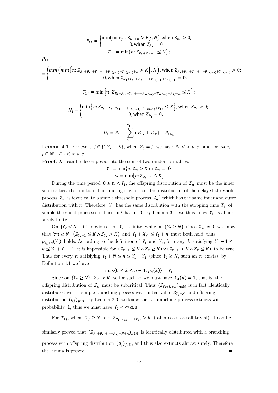$$
P_{11} = \begin{cases} \min(\min\{n: Z_{R_1+n} > K\}, N), \text{ when } Z_{R_1} > 0; \\ 0, \text{ when } Z_{R_1} = 0. \end{cases}
$$
  
\n
$$
P_{1j}
$$
  
\n
$$
= \begin{cases} \min\{n: Z_{R_1+P_{11}+T_{11}+\cdots+P_{1(j-1)}+T_{1(j-1)}+n > K\}, N\}, \text{ when } Z_{R_1+P_{11}+T_{11}+\cdots+P_{1(j-1)}+T_{1(j-1)}} > 0; \\ 0, \text{ when } Z_{R_1+P_{11}+T_{11}+\cdots+P_{1(j-1)}+T_{1(j-1)}} = 0. \end{cases}
$$
  
\n
$$
T_{1j} = \min\{n: Z_{R_1+P_{11}+T_{11}+\cdots+P_{1(j-1)}+T_{1(j-1)}+P_{1j}+n \le K\};
$$
  
\n
$$
N_1 = \begin{cases} \min\{n: Z_{R_1+P_{11}+T_{11}+\cdots+P_{1(n-1)}+T_{1(n-1)}+P_{1n}} \le K\}, \text{ when } Z_{R_1} > 0; \\ 0, \text{ when } Z_{R_1} = 0. \end{cases}
$$
  
\n
$$
D_1 = R_1 + \sum_{k=1}^{N_1-1} (P_{1k} + T_{1k}) + P_{1N_1}
$$

**Lemma 4.1.** For every  $j \in \{1, 2, ..., K\}$ , when  $Z_0 = j$ , we have  $R_1 < \infty$  *a.s.*, and for every  $j \in \mathbb{N}^*, T_{1j} < \infty$  a.s..

**Proof:**  $R_1$  can be decomposed into the sum of two random variables:

$$
Y_1 = \min\{n: Z_n > K \text{ or } Z_n = 0\}
$$
  

$$
Y_2 = \min\{n: Z_{X_1 + n} \le K\}
$$

During the time period  $0 \le n \le Y_1$ , the offspring distribution of  $Z_n$  must be the inner, supercritical distribution. Thus during this period, the distribution of the delayed threshold process  $Z_n$  is identical to a simple threshold process  $Z_n'$  which has the same inner and outer distribution with it. Therefore,  $Y_1$  has the same distribution with the stopping time  $T_1$  of simple threshold processes defined in Chapter 3. By Lemma 3.1, we thus know  $Y_1$  is almost surely finite.

On  $\{Y_2 < N\}$  it is obvious that  $Y_2$  is finite, while on  $\{Y_2 \geq N\}$ , since  $Z_{Y_1} \neq 0$ , we know that  $\forall n \ge N$ ,  $(Z_{Y_1-1} \le K \wedge Z_{Y_1} > K)$  and  $Y_1 + X_{Y_1} \le Y_1 + n$  must both hold, thus  $p_{Y_1+n}(Y_1)$  holds. According to the definition of  $Y_1$  and  $Y_2$ , for every k satisfying  $Y_1 + 1 \leq$  $k \leq Y_1 + Y_2 - 1$ , it is impossible for  $(Z_{k-1} \leq K \wedge Z_k \geq K) \vee (Z_{k-1} > K \wedge Z_k \leq K)$  to be true. Thus for every *n* satisfying  $Y_1 + N \le n \le Y_1 + Y_2$  (since  $Y_2 \ge N$ , such an *n* exists), by Definition 4.1 we have

$$
\max\{0 \le k \le n - 1 : p_n(k)\} = Y_1
$$

Since on  $\{Y_2 \geq N\}$ ,  $Z_{Y_1} > K$ , so for such  $n$  we must have  $\mathbf{1}_A(n) = 1$ , that is, the offspring distribution of  $Z_n$  must be subcritical. Thus  $(Z_{Y_1+N+n})_{n\in\mathbb{N}}$  is in fact identically distributed with a simple branching process with initial value  $Z_{Y_1+N}$  and offspring distribution  $(q_i)_{i\in\mathbb{N}}$ . By Lemma 2.3, we know such a branching process extincts with probability 1, thus we must have  $Y_2 < \infty$  a.s..

For  $T_{1j}$ , when  $T_{1j} \geq N$  and  $Z_{R_1+P_{11}+\cdots+P_{1j}} > K$  (other cases are all trivial), it can be

similarly proved that  $(Z_{R_1+P_{11}+\cdots+P_{1i}+N+n})_{n\in\mathbb{N}}$  is identically distributed with a branching process with offspring distribution  $(q_i)_{i\in\mathbb{N}}$ , and thus also extincts almost surely. Therefore the lemma is proved.∎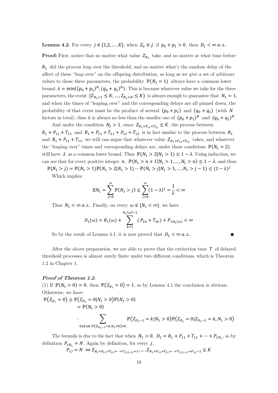**Lemma 4.2.** For every  $j \in \{1, 2, ..., K\}$ , when  $Z_0 \equiv j$ , if  $p_0 + p_1 > 0$ , then  $D_1 < \infty$  a.s..

**Proof:** First, notice that no matter what value  $Z_{R_1}$  take, and no matter at what time before

 $R_1$  did the process leap over the threshold, and no matter what's the random delay of the affect of these "leap over" on the offspring distribution, as long as we give a set of arbitrary values to these three parameters, the probability  $\mathbb{P}(N_1 = 1)$  always have a common lower bound  $\lambda = \min((p_0 + p_1)^N, (q_0 + q_1)^N)$ . This is because whatever value we take for the three parameters, the event  $\{Z_{R_1+1} \leq K, ..., Z_{R_1+N} \leq K\}$  is always enough to guarantee that  $N_1 = 1$ , and when the times of "leaping over" and the corresponding delays are all pinned down, the probability of that event must be the product of several  $(p_0 + p_1)$  and  $(q_0 + q_1)$  (with N factors in total), thus it is always no less than the smaller one of  $(p_0 + p_1)^N$  and  $(q_0 + q_1)^N$ .

And under the condition  $N_1 > 1$ , since  $Z_{R_1+P_{11}+T_{11}} \leq K$ , the process between  $R_1 + P_{11} + T_{11}$  and  $R_1 + P_{11} + T_{11} + P_{12} + T_{12}$  is in fact similar to the process between  $R_1$ and  $R_1 + P_{11} + T_{11}$ : we still can argue that whatever value  $Z_{R_1+P_{11}+T_{11}}$  takes, and whatever the "leaping over" times and corresponding delays are, under these conditions  $\mathbb{P}(N_1 = 2)$ still have  $\lambda$  as a common lower bound. Thus  $\mathbb{P}(N_1 > 2 | N_1 > 1) \leq 1 - \lambda$ . Using induction, we can see that for every positive integer  $n, \ \mathbb{P}(N_1 > n + 1 | N_1 > 1, ..., N_1 > n) \leq 1 - \lambda$ , and thus:

 $\mathbb{P}(N_1 > j) = \mathbb{P}(N_1 > 1)\mathbb{P}(N_1 > 2|N_1 > 1) \cdots \mathbb{P}(N_1 > j|N_1 > 1, ..., N_1 > j - 1) \leq (1 - \lambda)^j$ 

Which implies:

$$
\mathbb{E}N_1 = \sum_{j=0}^{\infty} \mathbb{P}(N_1 > j) \le \sum_{j=0}^{\infty} (1 - \lambda)^j = \frac{1}{\lambda} < \infty
$$

Thus  $N_1 < \infty$  *a.s.*. Finally, on every  $\omega \in \{N_1 < \infty\}$ , we have

$$
D_1(\omega) = R_1(\omega) + \sum_{k=1}^{N_1(\omega) - 1} (P_{1k} + T_{1k}) + P_{1N_1(\omega)} < \infty
$$

So by the result of Lemma 4.1, it is now proved that  $D_1 < \infty$  a.s..

After the above preparation, we are able to prove that the extinction time  $T$  of delayed threshold processes is almost surely finite under two different conditions, which is Theorem 1.2 in Chapter 1.

#### **Proof of Theorem 1.2.**

(1) If  $\mathbb{P}(N_1 > 0) = 0$ , then  $\mathbb{P}(Z_{R_1} = 0) = 1$ , so by Lemma 4.1 the conclusion is obvious. Otherwise, we have:

$$
\mathbb{P}(Z_{D_1} = 0) \ge \mathbb{P}(Z_{D_1} = 0 | N_1 > 0) \mathbb{P}(N_1 > 0)
$$
  
=  $\mathbb{P}(N_1 > 0)$   

$$
\sum_{0 \le k \le K: \mathbb{P}(Z_{D_1 - 1} = k, N_1 > 0) > 0} \mathbb{P}(Z_{D_1 - 1} = k | N_1 > 0) \mathbb{P}(Z_{D_1} = 0 | Z_{D_1 - 1} = k, N_1 > 0)
$$

The formula is due to the fact that when  $N_1 > 0$ ,  $D_1 = R_1 + P_{11} + T_{11} + \cdots + P_{1N_1}$ , so by definition  $\textbf{\textit{P}}_{1N_1} = N.$  Again by definition, for every  $j,$ 

$$
P_{1j} = N \Leftrightarrow Z_{R_1 + P_{11} + T_{11} + \dots + T_{1(j-1)} + 1}, \dots, Z_{R_1 + P_{11} + T_{11} + \dots + T_{1(j-1)} + P_{1j} - 1} \le K
$$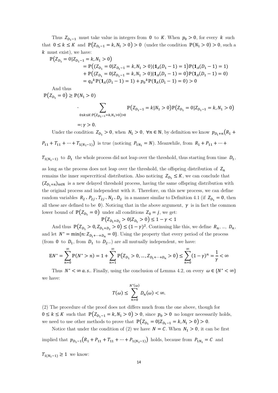Thus  $Z_{D_1-1}$  must take value in integers from 0 to K. When  $p_0 > 0$ , for every k such that  $0 \le k \le K$  and  $\mathbb{P}(Z_{D_1-1} = k, N_1 > 0) > 0$  (under the condition  $\mathbb{P}(N_1 > 0) > 0$ , such a  $k$  must exist), we have:

$$
\mathbb{P}(Z_{D_1} = 0 | Z_{D_1-1} = k, N_1 > 0)
$$
  
=  $\mathbb{P}((Z_{D_1} = 0 | Z_{D_1-1} = k, N_1 > 0) | \mathbf{1}_A(D_1 - 1) = 1) \mathbb{P}(\mathbf{1}_A(D_1 - 1) = 1)$   
+  $\mathbb{P}((Z_{D_1} = 0 | Z_{D_1-1} = k, N_1 > 0) | \mathbf{1}_A(D_1 - 1) = 0) \mathbb{P}(\mathbf{1}_A(D_1 - 1) = 0)$   
=  $q_0^k \mathbb{P}(\mathbf{1}_A(D_1 - 1) = 1) + p_0^k \mathbb{P}(\mathbf{1}_A(D_1 - 1) = 0) > 0$ 

And thus

 $\mathbb{P}(Z_{D_1} = 0) \geq \mathbb{P}(N_1 > 0)$ 

$$
\cdot \sum_{0 \leq k \leq K: \mathbb{P}\left(Z_{D_1-1} = k, N_1 > 0\right) > 0} \mathbb{P}\left(Z_{D_1-1} = k | N_1 > 0\right) \mathbb{P}\left(Z_{D_1} = 0 | Z_{D_1-1} = k, N_1 > 0\right)
$$

$$
=:\gamma>0.
$$

Under the condition  $Z_{D_1} > 0$ , when  $N_1 > 0$ ,  $\forall n \in \mathbb{N}$ , by definition we know  $p_{D_1+n}(R_1 +$  $P_{11} + T_{11} + \cdots + T_{1(N_1-1)}$  is true (noticing  $P_{1N_1} = N$ ). Meanwhile, from  $R_1 + P_{11} + \cdots$ 

 $T_{1(N_1-1)}$  to  $D_1$  the whole process did not leap over the threshold, thus starting from time  $D_1$ ,

as long as the process does not leap over the threshold, the offspring distribution of  $Z_n$ remains the inner supercritical distribution. Also noticing  $Z_{D_1} \leq K$ , we can conclude that  $(Z_{D_1+n})_{n\in\mathbb{N}}$  is a new delayed threshold process, having the same offspring distribution with the original process and independent with it. Therefore, on this new process, we can define random variables  $R_2, P_{2j}, T_{2j}, N_2, D_2$  in a manner similar to Definition 4.1 (if  $Z_{D_1} = 0$ , then all these are defined to be 0). Noticing that in the above argument,  $\gamma$  is in fact the common lower bound of  $\mathbb{P}(Z_{D_1} = 0)$  under all conditions  $Z_0 = j$ , we get:  $\mathbb{P}(Z_{D_1+D_2} > 0 | Z_{D_1} > 0) \leq 1 - \gamma < 1$ 

And thus  $\mathbb{P}(Z_{D_1} > 0, Z_{D_1 + D_2} > 0) \le (1 - \gamma)^2$ . Continuing like this, we define  $R_n, ..., D_n$ , and let  $N^* = \min\{n: Z_{D_1+\cdots+D_n} = 0\}$ . Using the property that every period of the process (from 0 to  $D_1$ , from  $D_1$  to  $D_2$ ...) are all mutually independent, we have:

$$
\mathbb{E} N^* = \sum_{n=0}^{\infty} \mathbb{P}(N^* > n) = 1 + \sum_{n=1}^{\infty} \mathbb{P}\left(Z_{D_1} > 0, \ldots, Z_{D_1 + \cdots + D_n} > 0\right) \le \sum_{n=0}^{\infty} (1 - \gamma)^n = \frac{1}{\gamma} < \infty
$$

Thus  $N^* < \infty$  *a.s.*. Finally, using the conclusion of Lemma 4.2, on every  $\omega \in \{N^* < \infty\}$ we have:

$$
T(\omega) \le \sum_{n=0}^{N^*(\omega)} D_n(\omega) < \infty.
$$

(2) The procedure of the proof does not differs much from the one above, though for  $0 \le k \le K$  such that  $\mathbb{P}(Z_{p,-1} = k, N_1 > 0) > 0$ , since  $p_0 > 0$  no longer necessarily holds, we need to use other methods to prove that  $\mathbb{P}(Z_{D_1} = 0 | Z_{D_1-1} = k, N_1 > 0) > 0$ .

Notice that under the condition of (2) we have  $N = C$ . When  $N_1 > 0$ , it can be first implied that  $p_{D_1-1}(R_1 + P_{11} + T_{11} + \cdots + P_{1(N_1-1)})$  holds, because from  $P_{1N_1} = C$  and

 $T_{1(N_1-1)} \geq 1$  we know: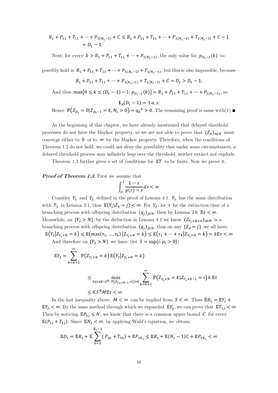$$
R_1 + P_{11} + T_{11} + \dots + P_{1(N_1 - 1)} + C \le R_1 + P_{11} + T_{11} + \dots + P_{1(N_1 - 1)} + T_{1(N_1 - 1)} + C - 1
$$
  
=  $D_1 - 1$ .

Next, for every  $k > R_1 + P_{11} + T_{11} + \cdots + P_{1(N_1-1)}$ , the only value for  $p_{D_1-1}(k)$  to

possibly hold is  $R_1 + P_{11} + T_{11} + \cdots + P_{1(N_1-1)} + T_{1(N_1-1)}$ , but this is also impossible, because

$$
R_1 + P_{11} + T_{11} + \dots + P_{1(N_1 - 1)} + T_{1(N_1 - 1)} + C = D_1 > D_1 - 1.
$$

And thus  $\max\{0 \le k \le (D_1 - 1) - 1: p_{D_1 - 1}(k)\} = R_1 + P_{11} + T_{11} + \dots + P_{1(N_1 - 1)}$ , so

$$
1_A(D_1-1)=1\ a.s.
$$

Hence  $\mathbb{P}(Z_{D_1} = 0 | Z_{D_1-1} = k, N_1 > 0) = q_0^k > 0$ . The remaining proof is same with(1).

At the beginning of this chapter, we have already mentioned that delayed threshold processes do not have the Markov property, so we are not able to prove that  $(Z_n)_{n\in\mathbb{N}}$  must converge either to  $0$  or to  $\infty$  by the Markov property. Therefore, when the conditions of Theorem 1.2 do not hold, we could not deny the possibility that under some circumstances, a delayed threshold process may infinitely leap over the threshold, neither extinct nor explode.

Theorem 1.3 further gives a set of conditions for  $ET$  to be finite. Now we prove it.

#### **Proof of Theorem 1.3.** First we assume that

$$
\int_0^1 \frac{1-s}{g(s)-s} ds < \infty
$$

Consider  $Y_1$  and  $Y_2$  defined in the proof of Lemma 4.1.  $Y_1$  has the same distribution with  $T_1$  in Lemma 3.1, thus  $\mathbb{E}(Y_1|Z_0 = j) < \infty$ . For  $Y_2$ , let  $\tau$  be the extinction time of a branching process with offspring distribution  $(q_i)_{i\in\mathbb{N}}$ , then by Lemma 2.6  $\mathbb{E}\tau < \infty$ . Meanwhile, on  $\{Y_2 > N\}$ , by the deduction in Lemma 4.1 we know  $(Z_{Y_1+N+n})_{n\in\mathbb{N}}$  is a branching process with offspring distribution  $(q_i)_{i\in\mathbb{N}}$ , thus on any  $\{Z_0 = j\}$  we all have:  $\mathbb{E}\big(Y_2\big|Z_{Y_1+N}=k\big)\leq \mathbb{E}\big(\max(\tau_1,\ldots,\tau_k)\big|Z_{Y_1+N}=k\big)\leq \mathbb{E}\big(\tau_1+\cdots+\tau_k\big|Z_{Y_1+N}=k\big)=k\mathbb{E}\tau<\infty$ 

And therefore on  $\{Y_2 > N\}$  we have: (let  $S = \sup\{i : p_i > 0\}$ )

$$
\mathbb{E}Y_2 = \sum_{k=K+1}^{\infty} \mathbb{P}(Z_{Y_1+N} = k) \mathbb{E}(Y_2 | Z_{Y_1+N} = k)
$$
  

$$
\leq \max_{0 \leq i \leq K \times S^N : \mathbb{P}(Z_{Y_1+N-1} = i) > 0} \sum_{k=K+1}^{\infty} \mathbb{P}(Z_{Y_1+N} = k | Z_{Y_1+N-1} = i) k \mathbb{E} \tau
$$
  

$$
\leq K S^N M \mathbb{E} \tau < \infty
$$

In the last inequality above,  $M < \infty$  can be implied from  $S < \infty$ . Thus  $\mathbb{E}R_1 = \mathbb{E}Y_1 +$  $EY_2 < \infty$ . By the same method through which we expanded  $EY_2$ , we can prove that  $ET_{1j} < \infty$ . Then by noticing  $\mathbb{E} P_{1i} \leq N$ , we know that there is a common upper bound C for every  $\mathbb{E}(P_{1i} + T_{1i})$ . Since  $\mathbb{E}N_1 < \infty$ , by applying Wald's equation, we obtain:

$$
\mathbb{E}D_1 = \mathbb{E}R_1 + \mathbb{E}\sum_{k=1}^{N_1 - 1} (P_{1k} + T_{1k}) + \mathbb{E}P_{1N_1} \le \mathbb{E}R_1 + \mathbb{E}(N_1 - 1)C + \mathbb{E}P_{1N_1} < \infty
$$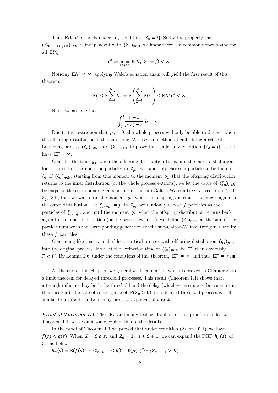Thus  $\mathbb{E}D_1 < \infty$  holds under any condition  $\{Z_0 = j\}$ . So by the property that  $(Z_{D_1+\cdots+D_k+n})_{n\in\mathbb{N}}$  is independent with  $(Z_n)_{n\in\mathbb{N}}$ , we know there is a common upper bound for all  $ED_n$ :

$$
C' := \max_{1 \le j \le K} \mathbb{E}(D_1 | Z_0 = j) < \infty
$$

Noticing  $EN^* < \infty$ , applying Wald's equation again will yield the first result of this theorem:

$$
\mathbb{E}T \le \mathbb{E}\sum_{n=0}^{N^*} D_n = \mathbb{E}\left(\sum_{n=0}^{N^*} \mathbb{E}D_n\right) \le \mathbb{E}N^*C' < \infty
$$

Next, we assume that

$$
\int_0^1 \frac{1-s}{g(s)-s} ds = \infty
$$

Due to the restriction that  $p_0 = 0$ , the whole process will only be able to die out when the offspring distribution is the outer one. We use the method of embedding a critical branching process  $(\zeta_n)_{n\in\mathbb{N}}$  into  $(Z_n)_{n\in\mathbb{N}}$  to prove that under any condition  $\{Z_0 = j\}$  we all have  $\mathbb{E}T = \infty$ .

Consider the time  $\varrho_1$  when the offspring distribution turns into the outer distribution for the first time. Among the particles in  $Z_{\varrho_1}$ , we randomly choose a particle to be the root  $\zeta_0$  of  $(\zeta_n)_{n\in\mathbb{N}}$ ; starting from this moment to the moment  $\varrho_2$  that the offspring distribution returns to the inner distribution (or the whole process extincts), we let the value of  $(\zeta_n)_{n\in\mathbb{N}}$ be euqal to the corresponding generations of the sub-Galton-Watson tree evolved from  $\zeta_0$ . If  $Z_{\varrho_2} > 0$ , then we wait until the moment  $\varrho_3$  when the offspring distribution changes again to the outer distribution. Let  $\zeta_{\varrho_2-\varrho_1} = j$ . In  $Z_{\varrho_3}$  we randomly choose j particles as the particles of  $\zeta_{\rho_2-\rho_1}$ , and until the moment  $\rho_4$  when the offspring distribution returns back again to the inner distribution (or the process extincts), we define  $(\zeta_n)_{n\in\mathbb{N}}$  as the sum of the particle number in the corresponding generations of the sub-Galton-Watson tree generated by these  $j$  particles.

Continuing like this, we enbedded a critical process with offspring distribution  $(q_i)_{i\in\mathbb{N}}$ into the original process. If we let the extinction time of  $(\zeta_n)_{n\in\mathbb{N}}$  be T', then obviously  $T \geq T'$ . By Lemma 2.6, under the conditions of this theorem,  $ET' = \infty$ , and thus  $ET = \infty$ .

At the end of this chapter, we generalize Theorem 1.1, which is proved in Chapter 3, to a limit theorem for delayed threshold processes. This result (Theorem 1.4) shows that, although influenced by both the threshold and the delay (which we assume to be constant in this theorem), the rate of convergence of  $\mathbb{P}(Z_n > 0)$  in a delayed threshold process is still similar to a subcritical branching process: exponentially rapid.

**Proof of Theorem 1.4.** The idea and many technical details of this proof is similar to Theorem 1.1, so we omit some explanation of the details.

In the proof of Theorem 1.1 we proved that under condition  $(2)$ , on  $[0,1)$  we have  $f(s) < g(s)$ . When  $X = C a.s.$  and  $Z_0 = 1, n \ge C + 1$ , we can expand the PGF  $h_n(s)$  of  $Z_n$  as below:

$$
h_n(s) = \mathbb{E}(f(s)^{Z_{n-1}}; Z_{n-C-1} \le K) + \mathbb{E}(g(s)^{Z_{n-1}}; Z_{n-C-1} > K)
$$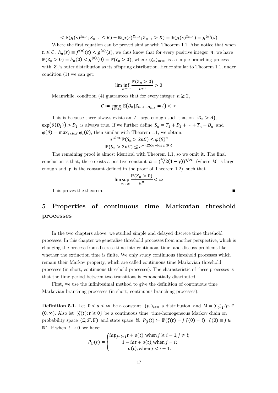$$
\langle \mathbb{E}(g(s)^{Z_{n-1}}; Z_{n-1} \leq K) + \mathbb{E}(g(s)^{Z_{n-1}}; Z_{n-1} > K) = \mathbb{E}(g(s)^{Z_{n-1}}) = g^{(n)}(s)
$$

Where the first equation can be proved similar with Theorem 1.1. Also notice that when  $n \leq C$ ,  $h_n(s) \equiv f^{(n)}(s) < g^{(n)}(s)$ , we thus know that for every positive integer  $n$ , we have  $\mathbb{P}(Z_n > 0) = h_n(0) < g^{(n)}(0) = \mathbb{P}(\zeta_n > 0)$ , where  $(\zeta_n)_{n \in \mathbb{N}}$  is a simple branching process with  $Z_n$ 's outer distribution as its offspring distribution. Hence similar to Theorem 1.1, under condition (1) we can get:

$$
\liminf_{n \to \infty} \frac{\mathbb{P}(Z_n > 0)}{m^n} > 0
$$

Meanwhile, condition (4) guarantees that for every integer  $n \geq 2$ ,

$$
C := \max_{1 \le i \le K} \mathbb{E}\big(D_n | Z_{D_1 + \dots + D_{n-1}} = i\big) < \infty
$$

This is because there always exists an A large enough such that on  $\{D_n > A\}$ ,  $\exp(\theta(D_2)) > D_2$  is always true. If we further define  $S_n = T_1 + D_1 + \cdots + T_n + D_n$  and  $\varphi(\theta) = \max_{1 \le i \le K} \varphi_i(\theta)$ , then similar with Theorem 1.1, we obtain:

$$
e^{2\theta nC} \mathbb{P}(S_n > 2nC) \le \varphi(\theta)^n
$$
  

$$
\mathbb{P}(S_n > 2nC) \le e^{-n(2C\theta - \log \varphi(\theta))}
$$

The remaining proof is almost identical with Theorem 1.1, so we omit it. The final conclusion is that, there exists a positive constant  $a = (\sqrt[M]{2}(1 - \gamma))^{1/2C}$  (where M is large enough and  $\gamma$  is the constant defined in the proof of Theorem 1.2), such that

$$
\limsup_{n\to\infty}\frac{\mathbb{P}(Z_n>0)}{a^n}<\infty
$$

This proves the theorem.

# **5 Properties of continuous time Markovian threshold processes**

In the two chapters above, we studied simple and delayed discrete time threshold processes. In this chapter we generalize threshold processes from another perspective, which is changing the process from discrete time into continuous time, and discuss problems like whether the extinction time is finite. We only study continuous threshold processes which remain their Markov property, which are called coutinuous time Markovian threshold processes (in short, continuous threshold processes). The charasteristic of these processes is that the time period between two transitions is exponentially distributed.

First, we use the infinitesimal method to give the definition of continuous time Markovian branching processes (in short, continuous branching processes):

**Definition 5.1.** Let  $0 < a < \infty$  be a constant,  $(p_i)_{i \in \mathbb{N}}$  a distribution, and  $M = \sum_{i=1}^{\infty} i p_i \in$  $(0, \infty)$ . Also let  $\{\zeta(t): t \geq 0\}$  be a continuous time, time-homogeneous Markov chain on probability space  $(0, \mathcal{F}, \mathbb{P})$  and state space N.  $P_{ij}(t) \coloneqq \mathbb{P}(\zeta(t) = j | \zeta(0) = i), \ \zeta(0) \equiv j \in$  $\mathbb{N}^*$ . If when  $t \to 0$  we have:

$$
P_{ij}(t) = \begin{cases} i a p_{j-i+1}t + o(t), \text{ when } j \ge i-1, j \ne i; \\ 1 - i a t + o(t), \text{ when } j = i; \\ o(t), \text{ when } j < i-1. \end{cases}
$$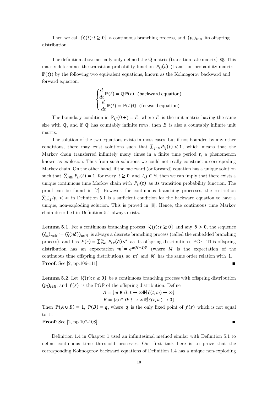Then we call  $\{\zeta(t)\colon t\geq 0\}$  a continuous branching process, and  $(p_i)_{i\in\mathbb{N}}$  its offspring distribution.

The definition above actually only defined the Q-matrix (transition rate matrix) Q. This matrix determines the transition probability function  $P_{ij}(t)$  (transition probability matrix  $\mathbb{P}(t)$  by the following two equivalent equations, known as the Kolmogorov backward and forward equation:

$$
\begin{cases}\n\frac{d}{dt}\mathbb{P}(t) = \mathbb{Q}\mathbb{P}(t) & \text{(backward equation)}\\
\frac{d}{dt}\mathbb{P}(t) = \mathbb{P}(t)\mathbb{Q} & \text{(forward equation)}\n\end{cases}
$$

The boundary condition is  $\mathbb{P}_{ij}(0+) = E$ , where E is the unit matrix having the same size with  $\mathbb{Q}$ , and if  $\mathbb{Q}$  has countably infinite rows, then E is also a countably infinite unit matrix.

The solution of the two equations exists in most cases, but if not bounded by any other conditions, there may exist solutions such that  $\sum_{j\in\mathbb{N}} P_{ij}(t) < 1$ , which means that the Markov chain transferred infinitely many times in a finite time period  $t$ , a phenomenon known as explosion. Thus from such solutions we could not really construct a correspoding Markov chain. On the other hand, if the backward (or forward) equation has a unique solution such that  $\sum_{j \in \mathbb{N}} P_{ij}(t) = 1$  for every  $t \ge 0$  and  $i, j \in \mathbb{N}$ , then we can imply that there exists a unique continuous time Markov chain with  $P_{ij}(t)$  as its transition probability function. The proof can be found in [7]. However, for continuous branching processes, the restriction  $\sum_{i=1}^{\infty} i p_i < \infty$  in Definition 5.1 is a sufficient condition for the backward equation to have a unique, non-exploding solution. This is proved in [9]. Hence, the continuous time Markov chain described in Definition 5.1 always exists.

**Lemma 5.1.** For a continuous branching process  $\{\zeta(t): t \geq 0\}$  and any  $\delta > 0$ , the sequence  $(\zeta_n)_{n\in\mathbb{N}} \coloneqq (\zeta(n\delta))_{n\in\mathbb{N}}$  is always a discrete branching process (called the embedded branching process), and has  $F(s) = \sum_{k=0}^{\infty} P_{1k}(\delta) s^k$  as its offspring distribution's PGF. This offspring distribution has an expectation  $m' = e^{a(M-1)\delta}$  (where M is the expectation of the continuous time offspring distribution), so  $m'$  and  $M$  has the same order relation with 1. **Proof:** See [2, pp.106-111].

**Lemma 5.2.** Let  $\{\zeta(t): t \geq 0\}$  be a continuous branching process with offspring distribution  $(p_i)_{i\in\mathbb{N}}$ , and  $f(s)$  is the PGF of the offspring distribution. Define

$$
A = \{ \omega \in \Omega : t \to \infty \mathbb{H} \zeta(t, \omega) \to \infty \}
$$

$$
B = \{ \omega \in \Omega : t \to \infty \mathbb{H} \zeta(t, \omega) \to 0 \}
$$

Then  $\mathbb{P}(A \cup B) = 1$ ,  $\mathbb{P}(B) = q$ , where q is the only fixed point of  $f(s)$  which is not equal to 1.

**Proof:** See [2, pp.107-108].

Definition 1.4 in Chapter 1 used an infinitesimal method similar with Definition 5.1 to define continuous time threshold processes. Our first task here is to prove that the corresponding Kolmogorov backward equations of Definition 1.4 has a unique non-exploding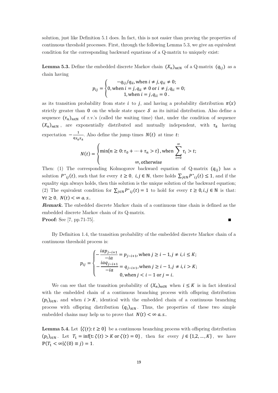solution, just like Definition 5.1 does. In fact, this is not easier than proving the properties of continuous threshold processes. First, through the following Lemma 5.3, we give an equivalent condition for the corresponding backward equations of a Q-matrix to uniquely exist:

**Lemma 5.3.** Define the embedded discrete Markov chain  $(X_n)_{n\in\mathbb{N}}$  of a Q-matrix  $(q_{ij})$  as a chain having

$$
p_{ij} = \begin{cases} \n-q_{ij}/q_{ii}, \text{ when } i \neq j, q_{ii} \neq 0; \\
0, \text{ when } i = j, q_{ii} \neq 0 \text{ or } i \neq j, q_{ii} = 0; \\
1, \text{ when } i = j, q_{ii} = 0.\n\end{cases}
$$

as its transition probability from state *i* to *j*, and having a probability distribution  $\pi(x)$ strictly greater than 0 on the whole state space  $\mathcal S$  as its initial distribution. Also define a sequence  $(\tau_n)_{n\in\mathbb{N}}$  of r.v.'s (called the waiting time) that, under the condition of sequence  $(X_n)_{n\in\mathbb{N}}$ , are exponentially distributed and mutually independent, with  $\tau_k$  having expectation  $-\frac{1}{q_{X_k X_k}}$ . Also define the jump times  $N(t)$  at time t:

$$
N(t) = \begin{cases} \min\{n \ge 0 : \tau_0 + \dots + \tau_n > t\}, \text{when } \sum_{i=0}^{\infty} \tau_i > t; \\ \infty, \text{otherwise} \end{cases}
$$

Then: (1) The corresponding Kolmogorov backward equation of Q-matrix  $(q_{ij})$  has a solution  $P^*_{ij}(t)$ , such that for every  $t \geq 0$ ,  $i, j \in \mathbb{N}$ , there holds  $\sum_{j \in \mathbb{N}} P^*_{ij}(t) \leq 1$ , and if the equality sign always holds, then this solution is the unique solution of the backward equation; (2) The equivalent condition for  $\sum_{j\in\mathbb{N}}P^*_{ij}(t)=1$  to hold for every  $t\geq 0, i,j\in\mathbb{N}$  is that:  $\forall t \geq 0, N(t) < \infty a.s..$ 

**Remark.** The enbedded discrete Markov chain of a continuous time chain is defined as the embedded discrete Markov chain of its Q-matrix.

**Proof:** See [7, pp.71-75]. ■

By Definition 1.4, the transition probability of the embedded discrete Markov chain of a continuous threshold process is:

$$
p_{ij} = \begin{cases} -\frac{i a p_{j-i+1}}{-i a} = p_{j-i+1}, \text{ when } j \ge i-1, j \ne i, i \le K; \\ -\frac{i a q_{j-i+1}}{-i a} = q_{j-i+1}, \text{ when } j \ge i-1, j \ne i, i > K; \\ 0, \text{ when } j < i-1 \text{ or } j = i. \end{cases}
$$

We can see that the transition probability of  $(X_n)_{n\in\mathbb{N}}$  when  $i \leq K$  is in fact identical with the embedded chain of a continuous branching process with offspring distribution  $(p_i)_{i\in\mathbb{N}}$ , and when  $i > K$ , identical with the embedded chain of a continuous branching process with offspring distribution  $(q_i)_{i\in\mathbb{N}}$ . Thus, the properties of these two simple embedded chains may help us to prove that  $N(t) < \infty a$ . s..

**Lemma 5.4.** Let  $\{\zeta(t): t \geq 0\}$  be a continuous branching process with offspring distribution  $(p_i)_{i\in\mathbb{N}}$ . Let  $T_1 = \inf\{t:\zeta(t) > K \text{ or } \zeta(t) = 0\}$ , then for every  $j \in \{1,2,...,K\}$ , we have  $\mathbb{P}(T_1 < \infty | \zeta(0) \equiv j) = 1.$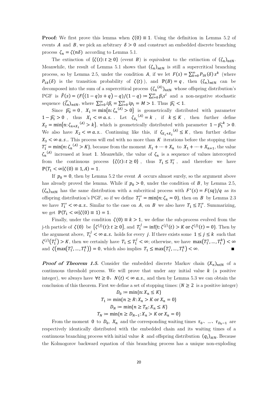**Proof:** We first prove this lemma when  $\zeta(0) \equiv 1$ . Using the definition in Lemma 5.2 of events A and B, we pick an arbitrary  $\delta > 0$  and construct an embedded discrete branching process  $\zeta_n = \zeta(n\delta)$  according to Lemma 5.1.

The extinction of  $\{\zeta(t): t \geq 0\}$  (event B) is equivalent to the extinction of  $(\zeta_n)_{n \in \mathbb{N}}$ . Meanwhile, the result of Lemma 5.1 shows that  $(\zeta_n)_{n\in\mathbb{N}}$  is still a supercritical branching process, so by Lemma 2.5, under the condition A, if we let  $F(s) = \sum_{k=0}^{\infty} P_{1k}(\delta) s^k$  (where  $P_{1k}(\delta)$  is the transition probability of  $\zeta(t)$ ), and  $\mathbb{P}(B) = q$ , then  $(\zeta_n)_{n \in \mathbb{N}}$  can be decomposed into the sum of a supercritical process  $(\zeta_n^{(A)})_{n\in\mathbb{N}}$  whose offspring distribution's PGF is  $\hat{F}(s) = (F((1-q)s + q) - q)/(1-q) = \sum_{i=0}^{\infty} \hat{p}_i s^i$  and a non-negative stochastic sequence  $(\bar{\zeta}_n)_{n\in\mathbb{N}}$ , where  $\sum_{i=0}^{\infty} i\hat{p}_i = \sum_{i=0}^{\infty} i p_i = M > 1$ . Thus  $\widehat{p}_1 < 1$ .

Since  $\widehat{p_0} = 0$ ,  $X_1 := \min\{n: \zeta_n^{(A)} > 0\}$  is geometrically distributed with parameter  $1 - \widehat{p_1} > 0$ , thus  $X_1 < \infty$  *a.s.* Let  $\zeta_{X_1}^{(A)} = k$ , if  $k \leq K$ , then further define  $X_2 = \min\{n: \zeta_{n+X_1}^{(A)} > k\}$ , which is geometrically distributed with parameter  $1 - \widehat{p_1}^k > 0$ . We also have  $X_2 < \infty$  *a.s.* Continuing like this, if  $\zeta_{X_1+X_2}^{(A)} \leq K$ , then further define  $X_3 < \infty$  a.s... This process will end with no more than K iterations before the stopping time  $T_1' = \min\{n: \zeta_n^{(A)} > K\}$ , because from the moment  $X_1 + \cdots + X_n$  to  $X_1 + \cdots + X_{n+1}$ , the value  $\zeta_n^{(A)}$  increased at least 1. Meanwhile, the value of  $\zeta_n$  is a sequence of values intercepted from the continuous process  $\{\zeta(t) : t \ge 0\}$ , thus  $T_1 \le T'_1$ , and therefore we have  $\mathbb{P}(T_1 < \infty | \zeta(0) \equiv 1, A) = 1.$ 

If  $p_0 = 0$ , then by Lemma 5.2 the event A occurs almost surely, so the argument above has already proved the lemma. While if  $p_0 > 0$ , under the condition of B, by Lemma 2.5,  $(\zeta_n)_{n\in\mathbb{N}}$  has the same distribution with a subcritical process with  $F^*(s) = F(sq)/q$  as its offspring distribution's PGF, so if we define  $T_1'' = \min\{n: \zeta_n = 0\}$ , then on B by Lemma 2.3 we have  $T_1'' < \infty$  a.s.. Similar to the case on A, on B we also have  $T_1 \leq T_1''$ . Summarizing, we get  $\mathbb{P}(T_1 < \infty | \zeta(0) \equiv 1) = 1$ .

Finally, under the condition  $\zeta(0) \equiv k > 1$ , we define the sub-process evolved from the j-th particle of  $\zeta(0)$  be  $\{\zeta^{(j)}(t): t \ge 0\}$ , and  $T_1' := \inf\{t: \zeta^{(j)}(t) > K \text{ or } \zeta^{(j)}(t) = 0\}$ . Then by the argument above,  $T_1' < \infty$  **a.s.** holds for every *j*. If there exists some  $1 \le j \le k$  such that  $\zeta^{(j)}(T_1^j) > K$ , then we certainly have  $T_1 \leq T_1^j < \infty$ ; otherwise, we have  $\max(T_1^1, ..., T_1^k) < \infty$ and  $\zeta(\max(T_1^1, ..., T_1^k)) = 0$ , which also implies  $T_1 \le \max(T_1^1, ..., T_1^k) < \infty$ .

**Proof of Theorem 1.5.** Consider the embedded discrete Markov chain  $(X_n)_{n\in\mathbb{N}}$  of a continuous threshold process. We will prove that under any initial value  $k$  (a positive integer), we always have  $\forall t \geq 0$ ,  $N(t) < \infty$  *a.s.*, and then by Lemma 5.3 we can obtain the conclusion of this theorem. First we define a set of stopping times:  $(N \geq 2$  is a positive integer)  $D := \min\{n: Y \leq K\}$ 

$$
D_0 := \min\{1, X_n \le K\}
$$
  
\n
$$
T_1 := \min\{n \ge R : X_n > K \text{ or } X_n = 0\}
$$
  
\n
$$
D_N := \min\{n \ge T_N : X_n \le K\}
$$
  
\n
$$
T_N := \min\{n \ge D_{N-1} : X_n > K \text{ or } X_n = 0\}
$$

From the moment 0 to  $D_0$ ,  $X_n$  and the corresponding waiting times  $\tau_0$ , …,  $\tau_{D_0-1}$  are respectively identically distributed with the embedded chain and its waiting times of a continuous branching process with initial value k and offspring distribution  $(q_i)_{i\in\mathbb{N}}$ . Because the Kolmogorov backward equation of this branching process has a unique non-exploding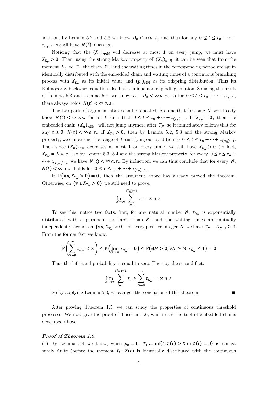solution, by Lemma 5.2 and 5.3 we know  $D_0 < \infty$  *a.s.*, and thus for any  $0 \le t \le \tau_0 + \cdots$  $\tau_{D_0-1}$ , we all have  $N(t) < \infty$  a.s..

Noticing that the  $(X_n)_{n\in\mathbb{N}}$  will decrease at most 1 on every jump, we must have  $X_{D_0} > 0$ . Then, using the strong Markov property of  $(X_n)_{n\in\mathbb{N}}$ , it can be seen that from the moment  $D_0$  to  $T_1$ , the chain  $X_n$  and the waiting times in the corresponding period are again identically distributed with the embedded chain and waiting times of a continuous branching process with  $X_{D_0}$  as its initial value and  $(p_i)_{i\in\mathbb{N}}$  as its offspring distribution. Thus its Kolmogorov backward equation also has a unique non-exploding solution. So using the result of Lemma 5.3 and Lemma 5.4, we know  $T_1 - D_0 < \infty$  *a.s.*, so for  $0 \le t \le \tau_0 + \cdots + \tau_{T_1-1}$ , there always holds  $N(t) < \infty$  a.s..

The two parts of argument above can be repeated: Assume that for some  $N$  we already know  $N(t) < \infty$  *a.s.* for all *t* such that  $0 \le t \le \tau_0 + \cdots + \tau_{(T_N)-1}$ . If  $X_{T_N} = 0$ , then the embedded chain  $(X_n)_{n\in\mathbb{N}}$  will not jump anymore after  $T_N$ , so it immediately follows that for any  $t \geq 0$ ,  $N(t) < \infty$  *a.s.*. If  $X_{T_N} > 0$ , then by Lemma 5.2, 5.3 and the strong Markov property, we can extend the range of t sastifying our condition to  $0 \le t \le \tau_0 + \cdots + \tau_{(D_N)-1}$ . Then since  $(X_n)_{n\in\mathbb{N}}$  decreases at most 1 on every jump, we still have  $X_{D_N} > 0$  (in fact,  $X_{D_N} = K \, a.s.$ ), so by Lemma 5.3, 5.4 and the strong Markov property, for every  $0 \le t \le \tau_0 +$  $\cdots + \tau_{(T_{n+1})-1}$  we have  $N(t) < \infty$  *a.s.*. By induction, we can thus conclude that for every N,  $N(t) < \infty$  a.s. holds for  $0 \le t \le \tau_0 + \cdots + \tau_{(T_N)-1}$ .

If  $\mathbb{P}(\forall n, X_{T_N} > 0) = 0$ , then the argument above has already proved the theorem. Otherwise, on  $\{\forall n, X_{T_N} > 0\}$  we still need to prove:

$$
\lim_{N\to\infty}\sum_{i=0}^{(T_N)-1}\tau_i=\infty\ a.s.
$$

To see this, notice two facts: first, for any natural number N,  $\tau_{D_N}$  is exponentially distributed with a parameter no larger than  $K$ , and the waiting times are mutually independent ; second, on  $\{\forall n, X_{T_N} > 0\}$  for every positive integer N we have  $T_N - D_{N-1} \ge 1$ . From the former fact we know:

$$
\mathbb{P}\left(\sum_{N=0}^{\infty} \tau_{D_N} < \infty\right) \le \mathbb{P}\left(\lim_{N \to \infty} \tau_{D_N} = 0\right) \le \mathbb{P}\left(\exists M > 0, \forall N \ge M, \tau_{D_N} \le 1\right) = 0
$$

Thus the left-hand probability is equal to zero. Then by the second fact:

$$
\lim_{N \to \infty} \sum_{i=0}^{(T_N)-1} \tau_i \ge \sum_{N=0}^{\infty} \tau_{D_N} = \infty \text{ a.s.}
$$

So by applying Lemma 5.3, we can get the conclusion of this theorem.∎

After proving Theorem 1.5, we can study the properties of continuous threshold processes. We now give the proof of Theorem 1.6, which uses the tool of embedded chains developed above.

#### **Proof of Theorem 1.6.**

(1) By Lemma 5.4 we know, when  $p_0 = 0$ ,  $T_1 := \inf\{t: Z(t) > K \text{ or } Z(t) = 0\}$  is almost surely finite (before the moment  $T_1$ ,  $Z(t)$  is identically distributed with the continuous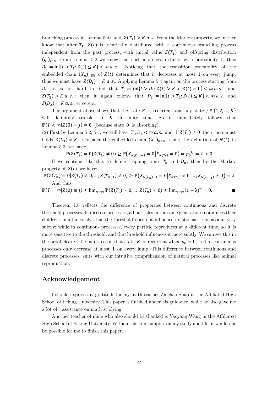branching process in Lemma 5.4), and  $Z(T_1) > K a.s$ . From the Markov property, we further know that after  $T_1$ ,  $Z(t)$  is identically distributed with a continuous branching process independent from the past process, with initial value  $Z(T_1)$  and offspring distribution  $(q_i)_{i\in\mathbb{N}}$ . From Lemma 5.2 we know that such a process extincts with probability 1, thus  $D_1 := \inf\{t > T_1: Z(t) \leq K\} < \infty \text{ a.s.}$ . Noticing that the transition probability of the embedded chain  $(X_n)_{n\in\mathbb{N}}$  of  $Z(t)$  determines that it decreases at most 1 on every jump, thus we must have  $Z(D_1) = K a.s.$ . Applying Lemma 5.4 again on the process starting from  $D_1\,,\,$  it is not hard to find that  $\,T_2 \coloneqq \inf\{t>D_1\colon Z(t)>K \text{ or } Z(t)=0\}<\infty\,a.s.\,,\,$  and  $Z(T_2) > K a.s.$ ; then it again follows that  $D_2 := \inf\{t > T_2: Z(t) \leq K\} < \infty a.s.$  and  $Z(D_2) = K a.s.,$  et cetera.

The argument above shows that the state K is recurrent, and any state  $j \in \{1, 2, ..., K\}$ will definitely transfer to  $K$  in finite time. So it immediately follows that  $\mathbb{P}(T < \infty | Z(0) \equiv j) = 0$  (because state 0 is absorbing).

(2) First by Lemma 5.2, 5.4, we still have  $T_1, D_1 < \infty$  a.s., and if  $Z(T_1) \neq 0$  then there must holds  $Z(D_1) = K$ . Consider the embedded chain  $(X_n)_{n \in \mathbb{N}}$ , using the definition of  $N(t)$  in Lemma 5.3, we have:

 $\mathbb{P}(Z(T_2) = 0 | Z(T_1) \neq 0) \ge \mathbb{P}(X_{N(D_1)+1} = 0 | X_{N(T_1)} \neq 0) = p_0^k := \lambda > 0$ 

If we continue like this to define stopping times  $T_n$  and  $D_n$ , then by the Markov property of  $Z(t)$  we have:

$$
\mathbb{P}(Z(T_n) = 0 | Z(T_1) \neq 0, ..., Z(T_{n-1}) \neq 0) \ge \mathbb{P}(X_{N(D_n)+1} = 0 | X_{N(T_1)} \neq 0, ..., X_{N(T_{n-1})} \neq 0) = \lambda
$$
  
And thus:  

$$
\mathbb{P}(T = \infty | Z(0) \equiv j) \le \lim_{n \to \infty} \mathbb{P}(Z(T_1) \neq 0, ..., Z(T_n) \neq 0) \le \lim_{n \to \infty} (1 - \lambda)^n = 0.
$$

Theorem 1.6 reflects the difference of properties between continuous and discrete threshold processes: In discrete processes, all particles in the same generation reproduces their children simultaneously, thus the threshold does not influence its stochastic behaviour very subtly; while in continuous processes, every particle reproduces at a different time, so it is more sensitive to the threshold, and the threshold influences it more subtly. We can see this in the proof clearly: the main reason that state K is recurrent when  $p_0 = 0$ , is that continuous processes only decrease at most 1 on every jump. This difference between continuous and discrete processes, suits with our intuitive comprehension of natural processes like animal reproduction.

### **Acknowledgement**

I should express my gratitude for my math teacher Zhichao Shan in the Affiliated High School of Peking University. This paper is finished under his guidance, while he also gave me a lot of assistance on math studying.

Another teacher of mine who also should be thanked is Yaoyang Wang in the Affiliated High School of Peking University. Without his kind support on my study and life, it would not be possible for me to finish this paper.